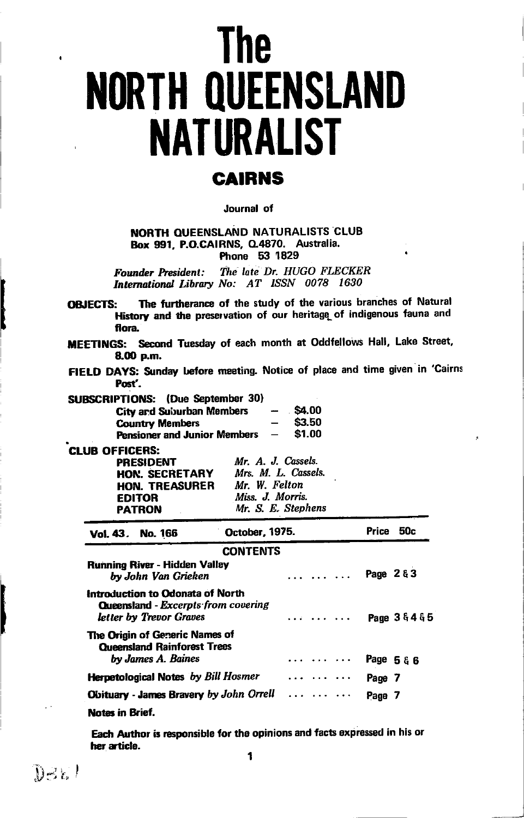# The **NORTH QUEENSLAND** NATURALIST **CAIRNS**

#### Journal of

NORTH OUEENSLAND NATURALISTS CLUB Box 991, P.O.CAIRNS, Q.4870. Australia. Phone 53'1829

Founder President: The late Dr. HUGO FLECKER International Library No: AT ISSN 0078 1630

OBJECTS: The furtherance of the study of the various branches of Natural History and the preservation of our heritage of indigenous fauna and flora

MEETINGS: Second Tuesday of each month at Oddfellows Hall, Lake Street, &Gl p.m.

FIELD DAYS: Sunday before meeting. Notice of place and time given in 'Cairns Post'.

| SUBSCRIPTIONS: (Due September 30)   |                          |        |
|-------------------------------------|--------------------------|--------|
| <b>City and Suburban Members</b>    | $\overline{\phantom{a}}$ | \$4.00 |
| <b>Country Members</b>              | $-$                      | \$3.50 |
| <b>Pensioner and Junior Members</b> | $\overline{\phantom{a}}$ | \$1.00 |

| Mr. A. J. Cassels.  |
|---------------------|
| Mrs. M. L. Cassels. |
| Mr. W. Felton       |
| Miss. J. Morris.    |
| Mr. S. E. Stephens  |
|                     |

| Vol. 43. No. 166                                                                                   | October, 1975.  | 50c<br>Price |
|----------------------------------------------------------------------------------------------------|-----------------|--------------|
|                                                                                                    | <b>CONTENTS</b> |              |
| Running River - Hidden Valley<br>by John Van Grieken                                               | .               | Page 2 & 3   |
| Introduction to Odonata of North<br>Queensland - Excerpts from covering<br>letter by Trevor Graves | .               | Page 36465   |
| The Origin of Generic Names of<br><b>Oueensland Rainforest Trees</b><br>by James A. Baines         | .               | Page 5 & 6   |
| <b>Herpetological Notes</b> by Bill Hosmer                                                         |                 | Page 7       |
| <b>Obituary - James Bravery by John Orrell</b>                                                     |                 | Page 7       |
| Notes in Brief.                                                                                    |                 |              |

Each Author is responsible for the opinions and facts expressed in his or her article.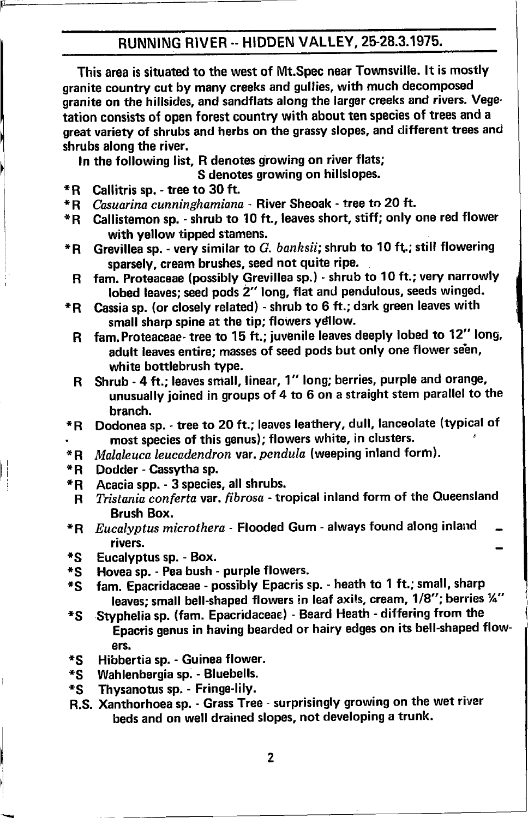## RUNNING RIVER .- HIDDEN VALLEY, 25-28.3.1975.

This area is situated to the west of Mt.Spec near Townsville. lt is mostly granite country cut by many creeks and gullies, with much decomposed granite on the hillsides, and sandflats along the larger creeks and rivers. Vege' tation consists of open forest country with about ten species of trees and <sup>a</sup> great variety of shrubs and herbs on the grassy slopes, and different trees and shrubs along the river.

In the following list, R denotes growing on river flats;<br>S denotes growing on hillslopes.

- 
- \*R Callitris sp. tree to 30 ft.<br>\*R *Casuarina cunninghamiana* River Sheoak tree to 20 ft.
- \* R Callistemon sp. shrub to 10 ft., leaves short, stiff; only one red flower<br>with yellow tipped stamens.
- \*R Grevillea sp. very similar to G. banksii; shrub to 10 ft; still flowering sparsely, cream brushes, seed not quite ripe.
	- R fam. Proteaceae (possibly Grevillea sp.) shrub to 10 ft.; very narrowly<br>lobed leaves; seed pods 2" long, flat and pendulous, seeds winged.
- \*R Cassia sp. (or closely related) shrub to 6 ft.; dark green leaves with small sharp spine at the tip; flowers ydllow.
	- R fam. Proteaceae- tree to 15 ft.; juvenile leaves deeply lobed to 12" long, adult leaves entire; masses of seed pods but only one flower seen, white bottlebrush type.
	- R Shrub 4 ft.; leaves small, linear, 1" long; berries, purple and orange, unusually joined in groups of 4 to 6 on a straight stem parallel to the
- \*R Dodonea sp. tree to 20 ft.; leaves leathery, dull, lanceolate (typical of most species of this genus); flowers white, in clusters.<br>\* R *Malaleuca leucadendron var, pendula* (weeping inland fo
- \*R *Malaleuca leucadendron var. pendula* (weeping inland form).<br>\*R Dodder Cassytha sp. <br>\*R Acacia spp. 3 species, all shrubs.
- 
- 
- R Tristania conferta var. fibrosa tropical inland form of the Queensland<br>Brush Box.
- \*R Eucalyptus microthera Flooded Gum always found along inland<br>rivers.
- 
- 
- \*S Eucalyptus sp. Box.<br>\*S Hovea sp. Pea bush purple flowers.<br>\*S fam. Epacridaceae possibly Epacris sp. heath to 1 ft.; small, sharp<br>leaves; small bell-shaped flowers in leaf axils, cream, 1/8"; berries ¼"
- \*S Styphelia sp. (fam. Epacridaceae) Beard Heath differing from the Epacris genus in having bearded or hairy edges on its bell-shaped flow-
- ers.<br>\*S Hibbertia sp. Guinea flower.<br>\*S Wahlenbergia sp. Bluebells.<br>\*S Thysanotus sp. Fringe-lily.
- 
- 
- R,S. Xanthorhoea sp. Grass Tree surprisingly growing on the Wet river beds and on well drained slopes, not developing a trunk.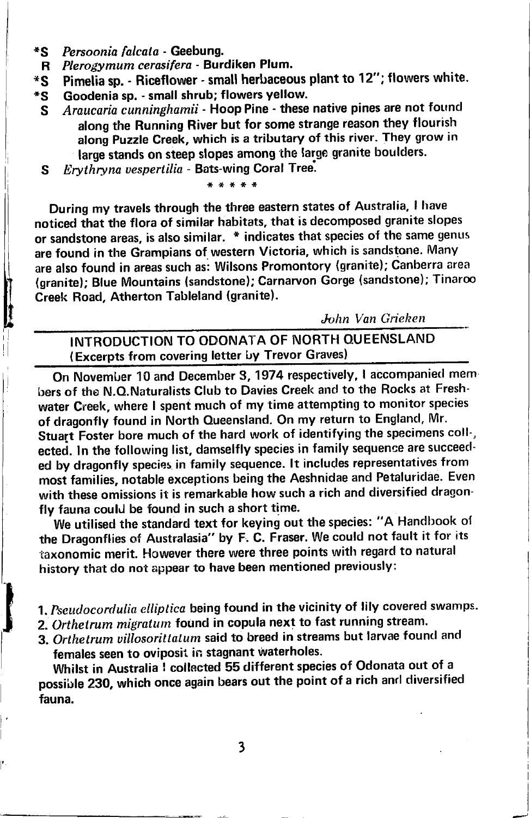- \*s Persoonia falcata - Geebung.
- R Plerogymum cerasifera - Burdiken Plum.
- \*s Pirnelia sp. - Riceflower - small herbaceous plant to 12"; flowers white.
- \*s Goodenia sp. - small shrub; flowers yellow.
	- S Araucaria cunninghamii - Hoop Pine - these native pines are not found along the Running River but for some strange reason they flourish along Puzzle Creek, which is a tributary of this river. They grow in large stands on steep slopes among the large granite boulders.
	- Erythryna uespertilia Bats-wing Coral Tree.  $\mathbf{s}$

During my travels through the three eastern states of Australia, I have noticed that the flora of similar habitats, that is decomposed granite slopes or sandstone areas, is also similar. \* indicates that species of the same genus are found in the Grampians of western Victoria, which is sandstone. Many are also found in areas such as: Wilsons Promontory (granite); Canberra area (granite); Blue Mountains (sandstone); Carnarvon Gorge (sandstone); Tinaroo Creek Road, Atherton Tableland (granite).

John Van Grieken

INTRODUCTION TO ODONATA OF NORTH QUEENSLAND (Excerpts from covering letter by Trevor Graves)

On November 10 and December 3, 1974 respectively, I accompanied members of the N.O.Naturalists Club to Davies Creek and to the Rocks at Freshwater Creek, where I spent much of my time attempting to monitor species of dragonfly found in North Queensland. On my return to England, Mr. Stuart Foster bore much of the hard work of identifying the specimens coll-, ected. In the following list, damselfly species in family sequence are succeedecl by dragonfly species in family sequence. lt includes representatives from most families, notable exceptions being the Aeshnidae and Petaluridae. Even with these omissions it is remarkable how such a rich and diversified dragonfly fauna could be found in such a short time.

We utilised the standard text for keying out the species: "A Handbook of the Dragonflies of Australasia" by F. C. Fraser. We could not fault it for its 'taxonomic merit. However there were three points with regard to natural history that do not appear to have been mentioned previously:

1. Pseudocordulia elliptica being found in the vicinity of lily covered swamps.

- 2. Orthetrum migratum found in copula next to fast running stream.
- 3. Orthetrum villosorittatum said to breed in streams but larvae found and females seen to oviposit in stagnant Waterholes.

Whilst in Australia I collected 55 different species of Odonata out of a possible 230, which once again bears out the point of a rich and diversified fauna.

l'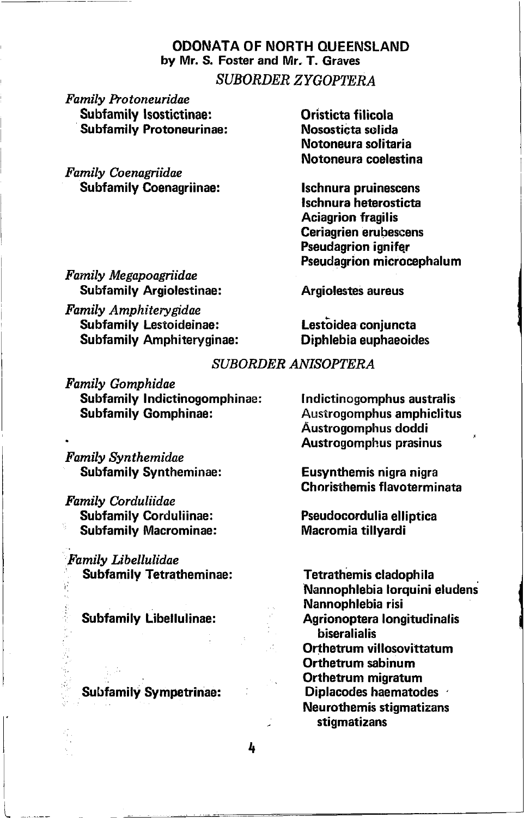#### ODONATA OF NORTH OUEENSLAND by Mr. S. Foster and Mr. T. Graves SUBORDER ZYGOPTERA

Family Protoneuridae Subfamily lsostictinae: Subfamily Protoneurinae:

Famtly Coenagriidae Subfamily Coenagriinae: Oristicta filicola Nososticta solida Notoneura solitaria Notoneura coelsstina

lschnura pruinescens lschnura heterosticta Aciagrion fragilis Ceriagrien erubescens Pseudagrion ignifer Pseudagrion microcephalum

Family Megapoagriidae Subfamily Argiolestinae:

Family Amphiterygidae Subfamily Lestoideinae: Subfamily Amphiteryginae: Argiolestes aureus

Lestoidea conjuncta Diphlebia euphaeoides

#### SUBORDER ANISOYTERA

Family Gomphidae Subfamily Indictinogomphinae: Subfamily Gomphinae:

Famlly Synthemidae Subfamily Syntheminae:

Family Corduliidae Subfamily Corduliinae: Subfamily Macrominae:

Family Libellulidae , Subfamily Tetratheminae:

Subfamily Libellulinae:

Subfamily Sympetrinae:

t\_\_\_

Indictinogomphus australis Austrogomphus amphiclitus Austrogomphus doddi Austrogornphus prasinus

Eusynthemis nigra nigra Choristhemis flavoterminata

Pseudocordulia elliptica Macromia tillyardi

Tetrathemis cladophila Nennophlebia lorquini eludens Nannophlebia risi Agrionoptera longitudinalis biseralialis Orthetrum villosovittatum Orthetrum sabinum Orthetrum migratum Diplacodes haematodes Neurothemis stigmatizans stigmatizans

4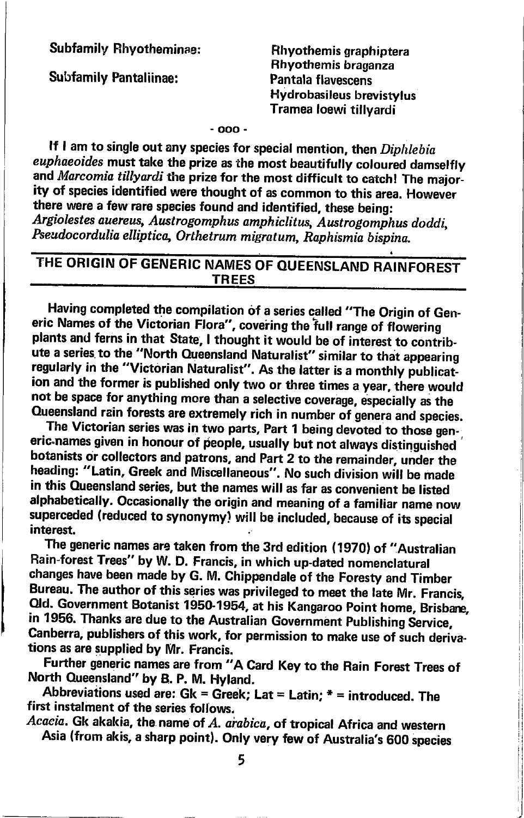Subfamily Rhyotheminae:

Subfamily Pantaliinae:

Rhyothemis graphiptera Rhyothemis braganza Pantala flavescens Hydrobasileus brevistylus Tramea loewi tillvardi

-ooo-

If I am to single out any species for special mention, then Diphlebia euphaeoides must take the prize as the most beautifully coloured damselfly and Marcomia tillyardi the prize for the most difficult to catch! The majority of species identified were thought of as common to this area. However there were a few rare species found and identified, these being: Argiolestes auereus, Austrogomphus amphiclitus, Austrogomphus doddi, Pseudocordulia elliptica, Orthetrum migratum, Raphismia bispina.

## THE ORIGIN OF GENERIC NAMES OF QUEENSLAND RAINFOREST TREES

Having completed the compilation of a series called "The Origin of Generic Names of the Victorian Flora", covering the full range of flowering plants and ferns in that State, I thought it would be of interest to contribute a series to the "North Queensland Naturalist" similar to that appearing regularly in the "Victorian Naturalist". As the latter is a monthly publication and the former is published only two or three times a year, there would not be space for anything more than a selective coverage, especially as the Queensland rain forests are extremely rich in number of genera and species.

The Victorian series was in two parts, Part 1 being devoted to those generic names given in honour of people, usually but not always distinguished botanists or collectors and patrons, and Part 2 to the remainder, under the heading: "Latin, Greek and Miscellaneous". No such division will be made in this Queensland series, but the names will as far as convenient be listed alphabetically. Occasionally the origin and meaning of a familiar name now superceded (reduced to synonymy) will be included, because of its special interest.

The generic names are taken from the 3rd edition (1970) of "Australian Rain-forest Trees" by w. D. Francis, in which up-dated nomenclatural changes have been made by G. M. Chippendale of the Foresty and Timber Bureau. The author of this series was privileged to meet the late Mr. Francis, Qld. Government Botanist 1950-1954, at his Kangaroo Point home, Brisbane, in 1956. Thanks are due to the Australian Government Publishing Service, Canberra, publishers of this work, for permission to make use of such derivations as are supplied by Mr. Francis.

\_ North Queensland" by B. p. M. Flyland. Further generic names are from "A card Key to the Rain Forest Trees of

Abbreviations used are:  $Gk = Greek$ ; Lat = Latin;  $* =$  introduced. The first instalment of the series follows.

Acaeia. Gk akakia, the name of A. arabica, of tropical Africa and western Asia (from akis, a sharp point). Only very few of Australia's 600 species

5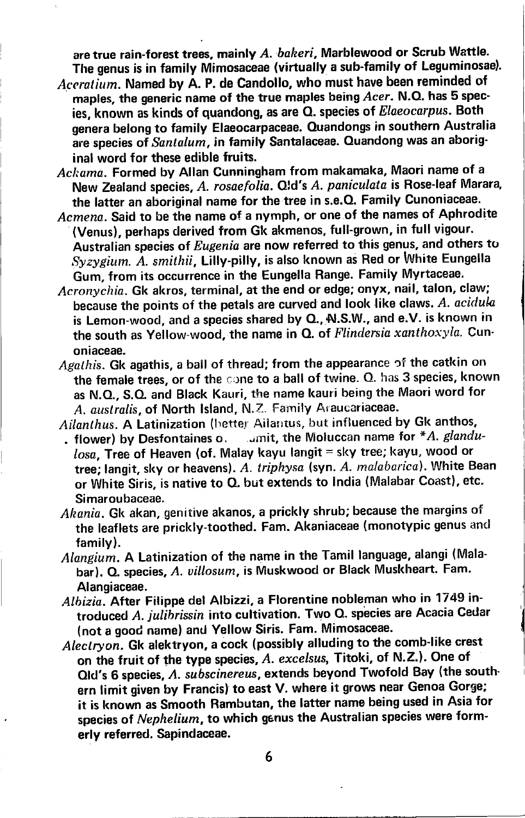are true rain-forest trees, mainly  $A.$  bakeri. Marblewood or Scrub Wattle. The genus is in family Mimosaceae (virtually a sub-famity of Leguminosae).

- Aceratium. Named by A. P. de Candollo, who must have been reminded of maples, the generic name of the true maples being Acer. N.O. has 5 species, known as kinds of quandong, as are Q. species of Elaeocarpus. Both genera belong to family Elaeocarpaceae. Ouandongs in southern Australia are species of Santalum, in family Santalaceae. Quandong was an aboriginal word for these edible fruits.
- Ackama. Formed by Allan Cunningham from makamaka, Maori name of a New Zealand species, A. rosaefolia. O!d's A. paniculata is Rose-leaf Marara. the latter an aboriginal name for the tree in s.e.Q. Family Cunoniaceae.
- Acmena. Said to be the name of a nymph, or one of the names of Aphrodite (Venus), perhaps derived from Gk akmenos, full-grown, in full vigour. Australian species of Eugenia are now referred to this genus, and others to Syzygimn. A. smithii, Lilly-pilly, is also known as Red or White Eungella Gum, from its occurrence in the Eungella Range. Family Myrtaceae,
- Acronychia. Gk akros, terminal, at the end or edge; onyx, nail, talon, claw; because the points of the petals are curved and look like claws. A. acidula is Lemon-wood, and a species shared by Q., N.S.W., and e.V. is known in the south as Yellow-wood, the name in  $Q$ . of Flindersia xanthoxyla. Cunoniaceae.
- Agathis. Gk agathis, a ball of thread; from the appearance of the catkin on the female trees, or of the cone to a ball of twine.  $Q$ . has 3 species, known as N.O., S.O. and Black Kauri, the name kauri being the Maori word for A. australis, of North Island, N.Z. Family Araucariaceae.
- Ailanthus. A Latinization (better Ailantus, but influenced by Gk anthos,<br>, flower) by Desfontaines o. amit, the Moluccan name for \*A. glandi
- . amit, the Moluccan name for  $*A$ . glandu $loss$ . Tree of Heaven (of. Malay kayu langit = sky tree; kayu, wood or tree; langit, sky or heavens). A. triphysa (syn. A. malabarica). White Bean or White Siris, is native to Q. but extends to India (Malabar Goast), etc. Simaroubaceae.
- Akania. Gk akan, genitive akanos, a prickly shrub; because the margins of the leaflets are prickly-toothed. Fam. Akaniaceae (monotypic genus ancl family).
- Alangium. A Latinization of the name in the Tamil language, alangi (Malabar). Q. species, A. villosum, is Muskwood or Black Muskheart. Fam. Alangiaceae.
- Albizia. After Filippe del Albizzi, a Florentine nobleman who in 1749 introduced A. julibrissin into cultivation. Two Q. species are Acacia Cedar (not a good name) and Yellow Siris. Fam. Mimosaceae.
- Alectryon. Gk alektryon, a cock (possibly alluding to the comb-like crest on the fruit of the type species, A. excelsus, Titoki, of N.Z.). One of Qld's 6 species, A. subscinereus, extends beyond Twofold Bay (the southern limit given by Francis) to east V. where it grows near Genoa Gorge; it is knovvn as Smooth Rambutan, the latter name being used in Asia for species of Nephelium, to which genus the Australian species were formerly referred. Sapindaceae.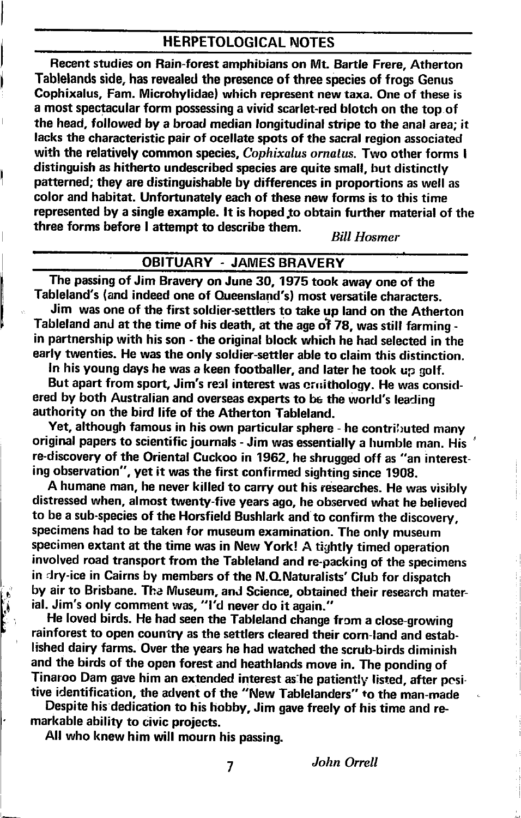#### HERPETOLOGICAL NOTES

Recent studies on Rain-forest amphibians on Mt. Bartle Frere, Atherton Tablelands side, has revealed the presence of three species of frogs Genus Gophixalus, Fam. Microhylidae) which represent new taxa. One of these is a most spectacular form possessing a vivid scarlet-red blotch on the top of the head, followed by a broad median longitudinal stripe to the anal area; it lacks the characteristic pair of ocellate spots of the sacral region associated with the relatively common species, Cophixalus ornatus. Two other forms I distinguish as hitherto undecribed species are quite small, but distinctly patterned; they are distinguishable by differences in proportions as well as color and habitat. Unfortunately each of these new forms is to this time represented by a single example. lt is hoped.to obtain further material of the three forms before I attempt to describe them.<br> $Bill Hosmer$ 

#### OBITUARY . JAMES BRAVERY

The passing of Jim Bravery on June 30, 1975 took away one of the Tableland's (and indeed one of Queensland's) most versatile characters.

Jim was one of the first soldier-settlers to take up land on the Atherton Tableland and at the time of his death, at the age of 78, was still farming in partnership with his son - the original block which he had selected in the early twenties. He was the only soldier-settler able to claim this distinction.

In his young days he was a keen footballer, and later he took up golf.

But apart from sport, Jim's real interest was cruithology. He was considered by both Australian and overseas experts to be the wortd's leading authority on the bird life of the Atherton Tableland.

Yet, although famous in his own particular sphere - he contributed many original papers to scientific journals - Jim was essentially a humble man. His re-discovery of the Oriental Cuckoo in 1962, he shrugged off as "an interesting observation", yet it was the first confirmed sighting since 1908.

A humane man, he never killed to carry out his researches. He was visibly distressed when, almost twenty-five years ago, he observed what he believed to be a sub-species of the Horsfield Bushlark and to confirm the discovery, specimens had to be taken for museum examination. The only museum specimen extant at the time was in New York! A tightly timed operation involved road transport from the Tableland and re-packing of the specimens in dry-ice in Cairns by members of the N.O.Naturalists' Club for dispatch by air to Brisbane. The Museum, and Science, obtained their research material. Jim's only comment was, "I'd never do it again."

He loved birds. He had seen the Tableland change from a close-growing rainforest to open country as the settlers cleared their corn-tand and etablished dairy farms. Over the years he had watched the scrub-birds diminish and the birds of the open forest and heathlands move in. The ponding of Tinaroo Dam gave him an extended interest as he patiently listed, after pesitive identification, the advent of the "New Tablelanders" to the man-made

Despite his dedication to his hobby, Jim gave freely of his time and remarkable ability to civic proiects.

All who knew him will mourn his passing.

 $\epsilon$ I i,r I

7

John Orrell